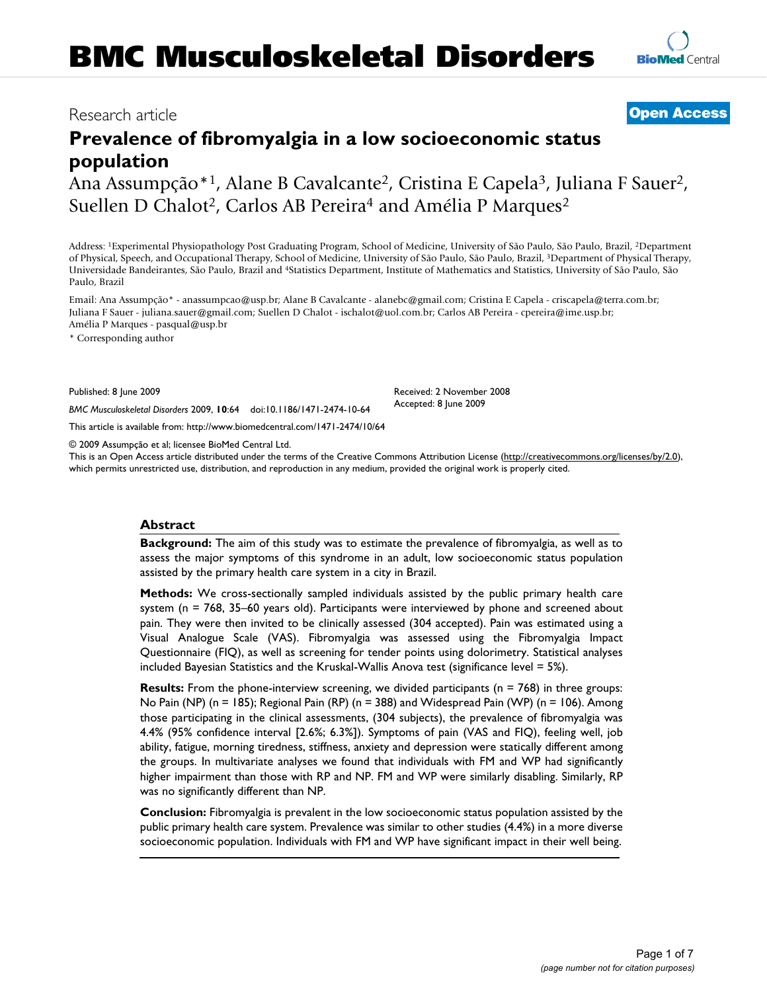# Research article **[Open Access](http://www.biomedcentral.com/info/about/charter/)**

# **Prevalence of fibromyalgia in a low socioeconomic status population**

Ana Assumpção\*1, Alane B Cavalcante2, Cristina E Capela3, Juliana F Sauer2, Suellen D Chalot<sup>2</sup>, Carlos AB Pereira<sup>4</sup> and Amélia P Marques<sup>2</sup>

Address: 1Experimental Physiopathology Post Graduating Program, School of Medicine, University of São Paulo, São Paulo, Brazil, 2Department of Physical, Speech, and Occupational Therapy, School of Medicine, University of São Paulo, São Paulo, Brazil, 3Department of Physical Therapy, Universidade Bandeirantes, São Paulo, Brazil and 4Statistics Department, Institute of Mathematics and Statistics, University of São Paulo, São Paulo, Brazil

Email: Ana Assumpção\* - anassumpcao@usp.br; Alane B Cavalcante - alanebc@gmail.com; Cristina E Capela - criscapela@terra.com.br; Juliana F Sauer - juliana.sauer@gmail.com; Suellen D Chalot - ischalot@uol.com.br; Carlos AB Pereira - cpereira@ime.usp.br; Amélia P Marques - pasqual@usp.br

\* Corresponding author

Published: 8 June 2009

*BMC Musculoskeletal Disorders* 2009, **10**:64 doi:10.1186/1471-2474-10-64

[This article is available from: http://www.biomedcentral.com/1471-2474/10/64](http://www.biomedcentral.com/1471-2474/10/64)

© 2009 Assumpção et al; licensee BioMed Central Ltd.

This is an Open Access article distributed under the terms of the Creative Commons Attribution License [\(http://creativecommons.org/licenses/by/2.0\)](http://creativecommons.org/licenses/by/2.0), which permits unrestricted use, distribution, and reproduction in any medium, provided the original work is properly cited.

#### **Abstract**

**Background:** The aim of this study was to estimate the prevalence of fibromyalgia, as well as to assess the major symptoms of this syndrome in an adult, low socioeconomic status population assisted by the primary health care system in a city in Brazil.

**Methods:** We cross-sectionally sampled individuals assisted by the public primary health care system (n = 768, 35–60 years old). Participants were interviewed by phone and screened about pain. They were then invited to be clinically assessed (304 accepted). Pain was estimated using a Visual Analogue Scale (VAS). Fibromyalgia was assessed using the Fibromyalgia Impact Questionnaire (FIQ), as well as screening for tender points using dolorimetry. Statistical analyses included Bayesian Statistics and the Kruskal-Wallis Anova test (significance level = 5%).

**Results:** From the phone-interview screening, we divided participants (n = 768) in three groups: No Pain (NP) (n = 185); Regional Pain (RP) (n = 388) and Widespread Pain (WP) (n = 106). Among those participating in the clinical assessments, (304 subjects), the prevalence of fibromyalgia was 4.4% (95% confidence interval [2.6%; 6.3%]). Symptoms of pain (VAS and FIQ), feeling well, job ability, fatigue, morning tiredness, stiffness, anxiety and depression were statically different among the groups. In multivariate analyses we found that individuals with FM and WP had significantly higher impairment than those with RP and NP. FM and WP were similarly disabling. Similarly, RP was no significantly different than NP.

**Conclusion:** Fibromyalgia is prevalent in the low socioeconomic status population assisted by the public primary health care system. Prevalence was similar to other studies (4.4%) in a more diverse socioeconomic population. Individuals with FM and WP have significant impact in their well being.

> Page 1 of 7 *(page number not for citation purposes)*

Received: 2 November 2008 Accepted: 8 June 2009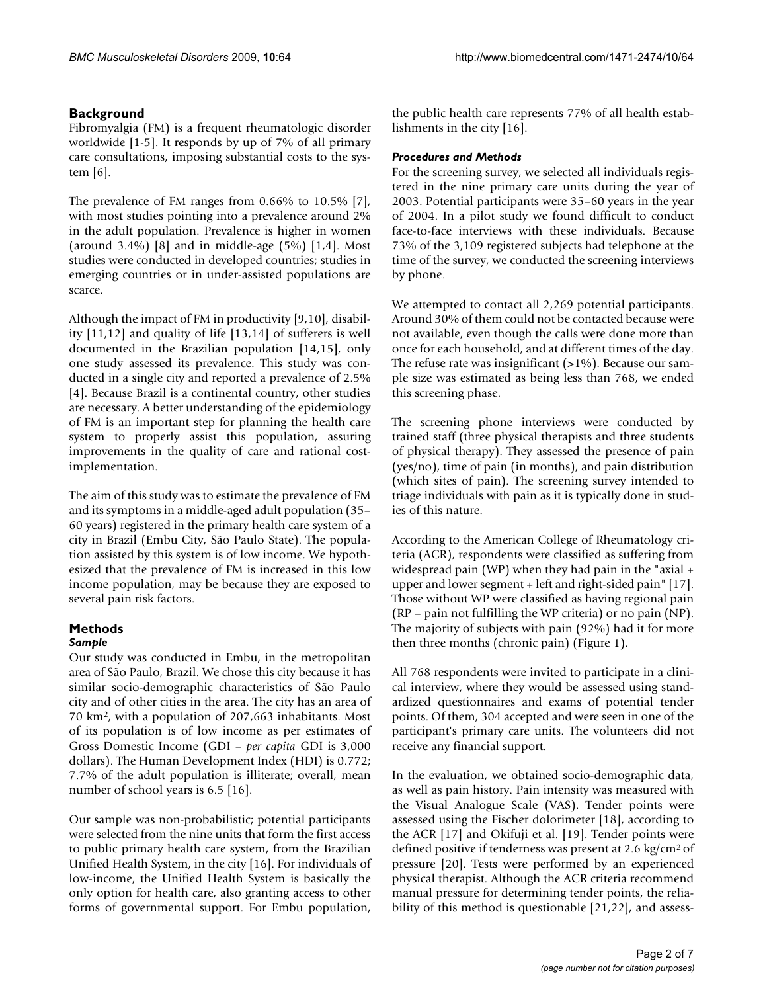### **Background**

Fibromyalgia (FM) is a frequent rheumatologic disorder worldwide [1-5]. It responds by up of 7% of all primary care consultations, imposing substantial costs to the system [6].

The prevalence of FM ranges from 0.66% to 10.5% [7], with most studies pointing into a prevalence around 2% in the adult population. Prevalence is higher in women (around  $3.4\%$ ) [8] and in middle-age (5%) [1,4]. Most studies were conducted in developed countries; studies in emerging countries or in under-assisted populations are scarce.

Although the impact of FM in productivity [9,10], disability [11,12] and quality of life [13,14] of sufferers is well documented in the Brazilian population [14,15], only one study assessed its prevalence. This study was conducted in a single city and reported a prevalence of 2.5% [4]. Because Brazil is a continental country, other studies are necessary. A better understanding of the epidemiology of FM is an important step for planning the health care system to properly assist this population, assuring improvements in the quality of care and rational costimplementation.

The aim of this study was to estimate the prevalence of FM and its symptoms in a middle-aged adult population (35– 60 years) registered in the primary health care system of a city in Brazil (Embu City, São Paulo State). The population assisted by this system is of low income. We hypothesized that the prevalence of FM is increased in this low income population, may be because they are exposed to several pain risk factors.

#### **Methods** *Sample*

Our study was conducted in Embu, in the metropolitan area of São Paulo, Brazil. We chose this city because it has similar socio-demographic characteristics of São Paulo city and of other cities in the area. The city has an area of 70 km2, with a population of 207,663 inhabitants. Most of its population is of low income as per estimates of Gross Domestic Income (GDI – *per capita* GDI is 3,000 dollars). The Human Development Index (HDI) is 0.772; 7.7% of the adult population is illiterate; overall, mean number of school years is 6.5 [16].

Our sample was non-probabilistic; potential participants were selected from the nine units that form the first access to public primary health care system, from the Brazilian Unified Health System, in the city [16]. For individuals of low-income, the Unified Health System is basically the only option for health care, also granting access to other forms of governmental support. For Embu population,

the public health care represents 77% of all health establishments in the city [16].

#### *Procedures and Methods*

For the screening survey, we selected all individuals registered in the nine primary care units during the year of 2003. Potential participants were 35–60 years in the year of 2004. In a pilot study we found difficult to conduct face-to-face interviews with these individuals. Because 73% of the 3,109 registered subjects had telephone at the time of the survey, we conducted the screening interviews by phone.

We attempted to contact all 2,269 potential participants. Around 30% of them could not be contacted because were not available, even though the calls were done more than once for each household, and at different times of the day. The refuse rate was insignificant  $(>1\%)$ . Because our sample size was estimated as being less than 768, we ended this screening phase.

The screening phone interviews were conducted by trained staff (three physical therapists and three students of physical therapy). They assessed the presence of pain (yes/no), time of pain (in months), and pain distribution (which sites of pain). The screening survey intended to triage individuals with pain as it is typically done in studies of this nature.

According to the American College of Rheumatology criteria (ACR), respondents were classified as suffering from widespread pain (WP) when they had pain in the "axial + upper and lower segment + left and right-sided pain" [17]. Those without WP were classified as having regional pain (RP – pain not fulfilling the WP criteria) or no pain (NP). The majority of subjects with pain (92%) had it for more then three months (chronic pain) (Figure 1).

All 768 respondents were invited to participate in a clinical interview, where they would be assessed using standardized questionnaires and exams of potential tender points. Of them, 304 accepted and were seen in one of the participant's primary care units. The volunteers did not receive any financial support.

In the evaluation, we obtained socio-demographic data, as well as pain history. Pain intensity was measured with the Visual Analogue Scale (VAS). Tender points were assessed using the Fischer dolorimeter [18], according to the ACR [17] and Okifuji et al. [19]. Tender points were defined positive if tenderness was present at 2.6 kg/cm2 of pressure [20]. Tests were performed by an experienced physical therapist. Although the ACR criteria recommend manual pressure for determining tender points, the reliability of this method is questionable [21,22], and assess-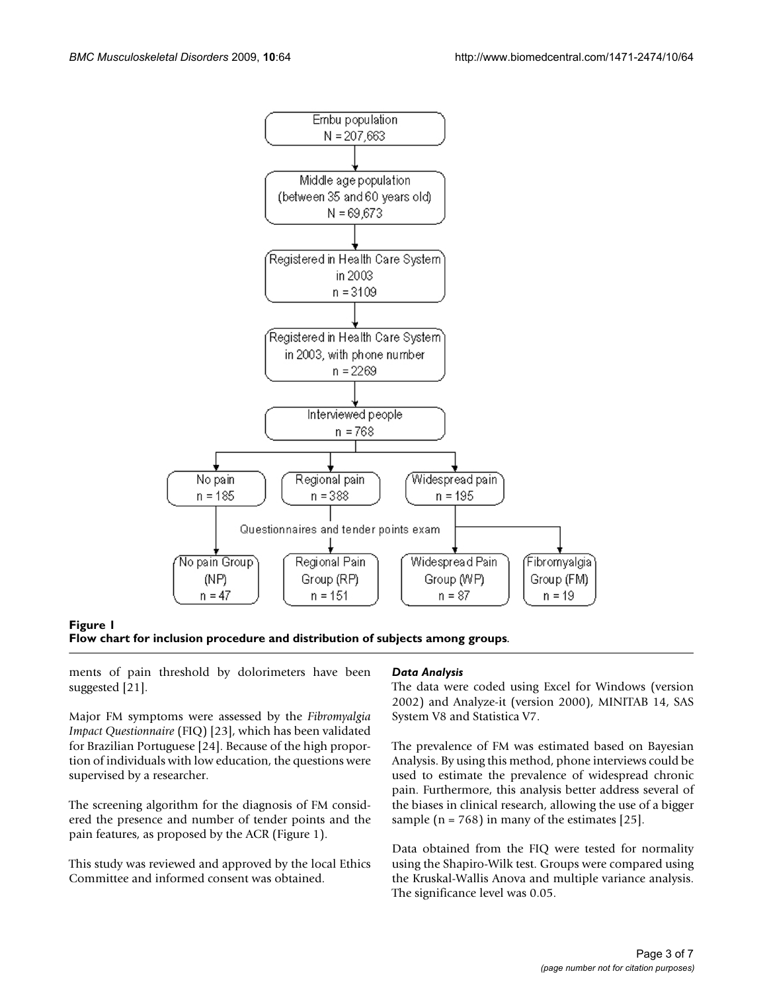

Figure 1 **Flow chart for inclusion procedure and distribution of subjects among groups**.

ments of pain threshold by dolorimeters have been suggested [21].

Major FM symptoms were assessed by the *Fibromyalgia Impact Questionnaire* (FIQ) [23], which has been validated for Brazilian Portuguese [24]. Because of the high proportion of individuals with low education, the questions were supervised by a researcher.

The screening algorithm for the diagnosis of FM considered the presence and number of tender points and the pain features, as proposed by the ACR (Figure 1).

This study was reviewed and approved by the local Ethics Committee and informed consent was obtained.

#### *Data Analysis*

The data were coded using Excel for Windows (version 2002) and Analyze-it (version 2000), MINITAB 14, SAS System V8 and Statistica V7.

The prevalence of FM was estimated based on Bayesian Analysis. By using this method, phone interviews could be used to estimate the prevalence of widespread chronic pain. Furthermore, this analysis better address several of the biases in clinical research, allowing the use of a bigger sample ( $n = 768$ ) in many of the estimates [25].

Data obtained from the FIQ were tested for normality using the Shapiro-Wilk test. Groups were compared using the Kruskal-Wallis Anova and multiple variance analysis. The significance level was 0.05.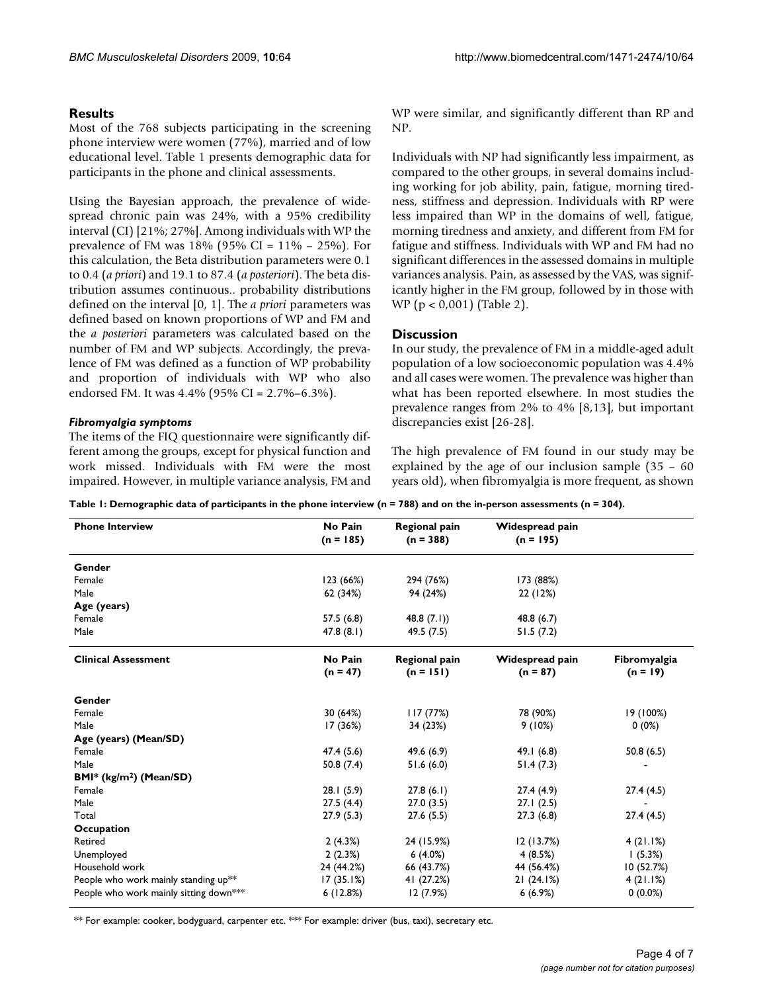#### **Results**

Most of the 768 subjects participating in the screening phone interview were women (77%), married and of low educational level. Table 1 presents demographic data for participants in the phone and clinical assessments.

Using the Bayesian approach, the prevalence of widespread chronic pain was 24%, with a 95% credibility interval (CI) [21%; 27%]. Among individuals with WP the prevalence of FM was  $18\%$  (95% CI =  $11\%$  – 25%). For this calculation, the Beta distribution parameters were 0.1 to 0.4 (*a priori*) and 19.1 to 87.4 (*a posteriori*). The beta distribution assumes continuous.. probability distributions defined on the interval [0, 1]. The *a priori* parameters was defined based on known proportions of WP and FM and the *a posteriori* parameters was calculated based on the number of FM and WP subjects. Accordingly, the prevalence of FM was defined as a function of WP probability and proportion of individuals with WP who also endorsed FM. It was 4.4% (95% CI = 2.7%–6.3%).

#### *Fibromyalgia symptoms*

The items of the FIQ questionnaire were significantly different among the groups, except for physical function and work missed. Individuals with FM were the most impaired. However, in multiple variance analysis, FM and WP were similar, and significantly different than RP and NP.

Individuals with NP had significantly less impairment, as compared to the other groups, in several domains including working for job ability, pain, fatigue, morning tiredness, stiffness and depression. Individuals with RP were less impaired than WP in the domains of well, fatigue, morning tiredness and anxiety, and different from FM for fatigue and stiffness. Individuals with WP and FM had no significant differences in the assessed domains in multiple variances analysis. Pain, as assessed by the VAS, was significantly higher in the FM group, followed by in those with WP (p < 0,001) (Table 2).

### **Discussion**

In our study, the prevalence of FM in a middle-aged adult population of a low socioeconomic population was 4.4% and all cases were women. The prevalence was higher than what has been reported elsewhere. In most studies the prevalence ranges from 2% to 4% [8,13], but important discrepancies exist [26-28].

The high prevalence of FM found in our study may be explained by the age of our inclusion sample (35 – 60 years old), when fibromyalgia is more frequent, as shown

| Table 1: Demographic data of participants in the phone interview (n = 788) and on the in-person assessments (n = 304). |  |  |  |  |  |
|------------------------------------------------------------------------------------------------------------------------|--|--|--|--|--|
|------------------------------------------------------------------------------------------------------------------------|--|--|--|--|--|

| <b>Phone Interview</b>                           | No Pain        | <b>Regional pain</b> | Widespread pain |              |
|--------------------------------------------------|----------------|----------------------|-----------------|--------------|
|                                                  | $(n = 185)$    | $(n = 388)$          | $(n = 195)$     |              |
| Gender                                           |                |                      |                 |              |
| Female                                           | 123(66%)       | 294 (76%)            | 173 (88%)       |              |
| Male                                             | 62 (34%)       | 94 (24%)             | 22 (12%)        |              |
| Age (years)                                      |                |                      |                 |              |
| Female                                           | 57.5(6.8)      | 48.8 $(7.1)$         | 48.8(6.7)       |              |
| Male                                             | 47.8(8.1)      | 49.5 (7.5)           | 51.5(7.2)       |              |
| <b>Clinical Assessment</b>                       | <b>No Pain</b> | <b>Regional pain</b> | Widespread pain | Fibromyalgia |
|                                                  | $(n = 47)$     | $(n = 151)$          | $(n = 87)$      | $(n = 19)$   |
| Gender                                           |                |                      |                 |              |
| Female                                           | 30 (64%)       | 117(77%)             | 78 (90%)        | 19 (100%)    |
| Male                                             | 17 (36%)       | 34 (23%)             | 9(10%)          | $0(0\%)$     |
| Age (years) (Mean/SD)                            |                |                      |                 |              |
| Female                                           | 47.4(5.6)      | 49.6 (6.9)           | 49.1 $(6.8)$    | 50.8(6.5)    |
| Male                                             | 50.8 $(7.4)$   | 51.6(6.0)            | 51.4(7.3)       |              |
| $BMI^*$ (kg/m <sup>2</sup> ) (Mean/SD)           |                |                      |                 |              |
| Female                                           | 28.1(5.9)      | 27.8(6.1)            | 27.4(4.9)       | 27.4(4.5)    |
| Male                                             | 27.5(4.4)      | 27.0(3.5)            | 27.1(2.5)       |              |
| Total                                            | 27.9(5.3)      | 27.6(5.5)            | 27.3(6.8)       | 27.4(4.5)    |
| Occupation                                       |                |                      |                 |              |
| Retired                                          | 2(4.3%)        | 24 (15.9%)           | 12(13.7%)       | 4(21.1%)     |
| Unemployed                                       | 2(2.3%)        | 6(4.0%)              | 4(8.5%)         | (5.3%)       |
| Household work                                   | 24 (44.2%)     | 66 (43.7%)           | 44 (56.4%)      | 10(52.7%)    |
| People who work mainly standing up <sup>**</sup> | 17(35.1%)      | 41 (27.2%)           | 21(24.1%)       | 4(21.1%)     |
| People who work mainly sitting down***           | 6(12.8%)       | 12 (7.9%)            | 6(6.9%)         | $0(0.0\%)$   |

\*\* For example: cooker, bodyguard, carpenter etc. \*\* For example: driver (bus, taxi), secretary etc.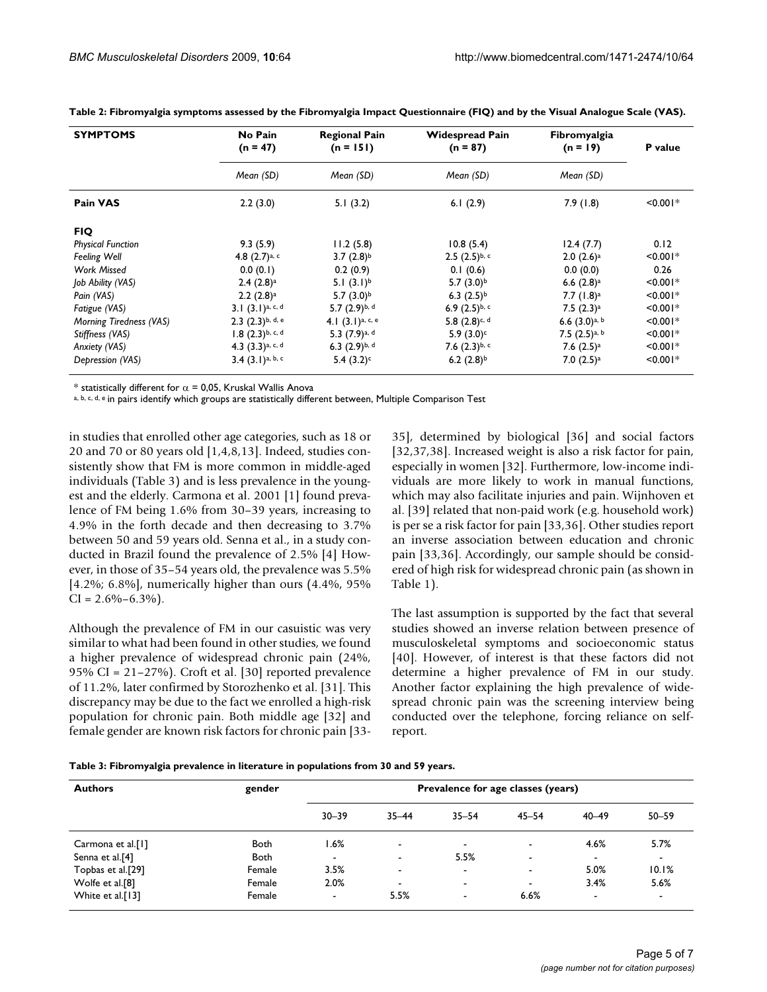| <b>SYMPTOMS</b>          | No Pain<br>$(n = 47)$         | <b>Regional Pain</b><br>$(n = 151)$ | <b>Widespread Pain</b><br>$(n = 87)$ | Fibromyalgia<br>$(n = 19)$  | P value       |
|--------------------------|-------------------------------|-------------------------------------|--------------------------------------|-----------------------------|---------------|
|                          | Mean (SD)                     | Mean (SD)                           | Mean (SD)                            | Mean (SD)                   |               |
| Pain VAS                 | 2.2(3.0)                      | 5.1(3.2)                            | 6.1 $(2.9)$                          | 7.9(1.8)                    | $< 0.001*$    |
| <b>FIQ</b>               |                               |                                     |                                      |                             |               |
| <b>Physical Function</b> | 9.3(5.9)                      | 11.2(5.8)                           | 10.8(5.4)                            | 12.4(7.7)                   | 0.12          |
| <b>Feeling Well</b>      | 4.8 $(2.7)$ a, c              | $3.7(2.8)^{b}$                      | $2.5(2.5)$ <sub>b, c</sub>           | 2.0(2.6) <sup>a</sup>       | $< 0.001*$    |
| Work Missed              | 0.0(0.1)                      | 0.2(0.9)                            | 0.1(0.6)                             | 0.0(0.0)                    | 0.26          |
| Job Ability (VAS)        | 2.4(2.8) <sup>a</sup>         | 5.1 $(3.1)^b$                       | $5.7(3.0)^{b}$                       | 6.6 $(2.8)$ <sup>a</sup>    | $< 0.001*$    |
| Pain (VAS)               | $2.2(2.8)^a$                  | $5.7(3.0)^{b}$                      | 6.3 $(2.5)^{b}$                      | $7.7(1.8)^a$                | $\leq 0.001*$ |
| Fatigue (VAS)            | 3.1 $(3.1)^{a, c, d}$         | 5.7 $(2.9)^{b, d}$                  | 6.9 $(2.5)^{b, c}$                   | $7.5(2.3)^a$                | $< 0.001*$    |
| Morning Tiredness (VAS)  | $2.3$ $(2.3)$ b, d, e         | $4.1(3.1)$ a, c, e                  | $5.8$ $(2.8)$ c, d                   | 6.6 $(3.0)$ <sub>a, b</sub> | $\leq 0.001*$ |
| Stiffness (VAS)          | $1.8(2.3)$ <sub>b, c, d</sub> | 5.3 $(7.9)$ a, d                    | $5.9(3.0)^c$                         | 7.5 $(2.5)$ <sup>a, b</sup> | $< 0.001*$    |
| Anxiety (VAS)            | 4.3 $(3.3)^{a, c, d}$         | 6.3 $(2.9)^{b, d}$                  | 7.6 $(2.3)^{b, c}$                   | 7.6 $(2.5)^a$               | $< 0.001*$    |
| Depression (VAS)         | $3.4$ $(3.1)$ a, b, c         | 5.4 $(3.2)^c$                       | 6.2 $(2.8)^{b}$                      | $7.0(2.5)$ <sup>a</sup>     | $< 0.001*$    |

**Table 2: Fibromyalgia symptoms assessed by the Fibromyalgia Impact Questionnaire (FIQ) and by the Visual Analogue Scale (VAS).**

\* statistically different for  $\alpha$  = 0,05, Kruskal Wallis Anova

a, b, c, d, e in pairs identify which groups are statistically different between, Multiple Comparison Test

in studies that enrolled other age categories, such as 18 or 20 and 70 or 80 years old [1,4,8,13]. Indeed, studies consistently show that FM is more common in middle-aged individuals (Table 3) and is less prevalence in the youngest and the elderly. Carmona et al. 2001 [1] found prevalence of FM being 1.6% from 30–39 years, increasing to 4.9% in the forth decade and then decreasing to 3.7% between 50 and 59 years old. Senna et al., in a study conducted in Brazil found the prevalence of 2.5% [4] However, in those of 35–54 years old, the prevalence was 5.5% [4.2%; 6.8%], numerically higher than ours (4.4%, 95%  $CI = 2.6\% - 6.3\%$ .

Although the prevalence of FM in our casuistic was very similar to what had been found in other studies, we found a higher prevalence of widespread chronic pain (24%, 95% CI = 21–27%). Croft et al. [30] reported prevalence of 11.2%, later confirmed by Storozhenko et al. [31]. This discrepancy may be due to the fact we enrolled a high-risk population for chronic pain. Both middle age [32] and female gender are known risk factors for chronic pain [3335], determined by biological [36] and social factors [32,37,38]. Increased weight is also a risk factor for pain, especially in women [32]. Furthermore, low-income individuals are more likely to work in manual functions, which may also facilitate injuries and pain. Wijnhoven et al. [39] related that non-paid work (e.g. household work) is per se a risk factor for pain [33,36]. Other studies report an inverse association between education and chronic pain [33,36]. Accordingly, our sample should be considered of high risk for widespread chronic pain (as shown in Table 1).

The last assumption is supported by the fact that several studies showed an inverse relation between presence of musculoskeletal symptoms and socioeconomic status [40]. However, of interest is that these factors did not determine a higher prevalence of FM in our study. Another factor explaining the high prevalence of widespread chronic pain was the screening interview being conducted over the telephone, forcing reliance on selfreport.

| Table 3: Fibromyalgia prevalence in literature in populations from 30 and 59 years. |  |  |  |
|-------------------------------------------------------------------------------------|--|--|--|
|                                                                                     |  |  |  |

| <b>Authors</b>    | gender      | Prevalence for age classes (years) |                          |                          |                          |                          |                |
|-------------------|-------------|------------------------------------|--------------------------|--------------------------|--------------------------|--------------------------|----------------|
|                   |             | $30 - 39$                          | $35 - 44$                | $35 - 54$                | $45 - 54$                | $40 - 49$                | $50 - 59$      |
| Carmona et al.[1] | Both        | 1.6%                               | $\overline{\phantom{a}}$ | $\overline{\phantom{0}}$ | $\overline{\phantom{a}}$ | 4.6%                     | 5.7%           |
| Senna et al.[4]   | <b>Both</b> | $\blacksquare$                     | $\blacksquare$           | 5.5%                     | $\overline{\phantom{a}}$ | $\overline{\phantom{a}}$ | $\blacksquare$ |
| Topbas et al.[29] | Female      | 3.5%                               | $\overline{\phantom{a}}$ | $\overline{\phantom{a}}$ | $\overline{\phantom{a}}$ | 5.0%                     | 10.1%          |
| Wolfe et al.[8]   | Female      | 2.0%                               | $\overline{\phantom{a}}$ | $\overline{\phantom{a}}$ | $\overline{\phantom{a}}$ | 3.4%                     | 5.6%           |
| White et al.[13]  | Female      | $\overline{\phantom{a}}$           | 5.5%                     | $\overline{\phantom{a}}$ | 6.6%                     | $\overline{\phantom{0}}$ | $\blacksquare$ |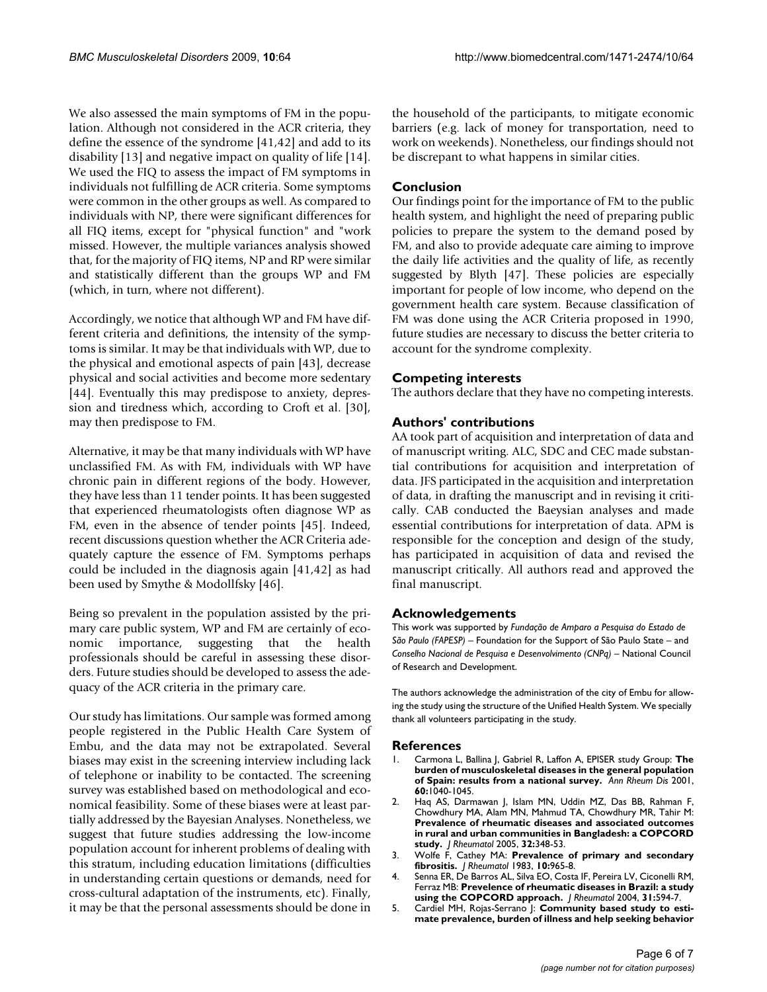We also assessed the main symptoms of FM in the population. Although not considered in the ACR criteria, they define the essence of the syndrome [41,42] and add to its disability [13] and negative impact on quality of life [14]. We used the FIQ to assess the impact of FM symptoms in individuals not fulfilling de ACR criteria. Some symptoms were common in the other groups as well. As compared to individuals with NP, there were significant differences for all FIQ items, except for "physical function" and "work missed. However, the multiple variances analysis showed that, for the majority of FIQ items, NP and RP were similar and statistically different than the groups WP and FM (which, in turn, where not different).

Accordingly, we notice that although WP and FM have different criteria and definitions, the intensity of the symptoms is similar. It may be that individuals with WP, due to the physical and emotional aspects of pain [43], decrease physical and social activities and become more sedentary [44]. Eventually this may predispose to anxiety, depression and tiredness which, according to Croft et al. [30], may then predispose to FM.

Alternative, it may be that many individuals with WP have unclassified FM. As with FM, individuals with WP have chronic pain in different regions of the body. However, they have less than 11 tender points. It has been suggested that experienced rheumatologists often diagnose WP as FM, even in the absence of tender points [45]. Indeed, recent discussions question whether the ACR Criteria adequately capture the essence of FM. Symptoms perhaps could be included in the diagnosis again [41,42] as had been used by Smythe & Modollfsky [46].

Being so prevalent in the population assisted by the primary care public system, WP and FM are certainly of economic importance, suggesting that the health professionals should be careful in assessing these disorders. Future studies should be developed to assess the adequacy of the ACR criteria in the primary care.

Our study has limitations. Our sample was formed among people registered in the Public Health Care System of Embu, and the data may not be extrapolated. Several biases may exist in the screening interview including lack of telephone or inability to be contacted. The screening survey was established based on methodological and economical feasibility. Some of these biases were at least partially addressed by the Bayesian Analyses. Nonetheless, we suggest that future studies addressing the low-income population account for inherent problems of dealing with this stratum, including education limitations (difficulties in understanding certain questions or demands, need for cross-cultural adaptation of the instruments, etc). Finally, it may be that the personal assessments should be done in

the household of the participants, to mitigate economic barriers (e.g. lack of money for transportation, need to work on weekends). Nonetheless, our findings should not be discrepant to what happens in similar cities.

## **Conclusion**

Our findings point for the importance of FM to the public health system, and highlight the need of preparing public policies to prepare the system to the demand posed by FM, and also to provide adequate care aiming to improve the daily life activities and the quality of life, as recently suggested by Blyth [47]. These policies are especially important for people of low income, who depend on the government health care system. Because classification of FM was done using the ACR Criteria proposed in 1990, future studies are necessary to discuss the better criteria to account for the syndrome complexity.

# **Competing interests**

The authors declare that they have no competing interests.

# **Authors' contributions**

AA took part of acquisition and interpretation of data and of manuscript writing. ALC, SDC and CEC made substantial contributions for acquisition and interpretation of data. JFS participated in the acquisition and interpretation of data, in drafting the manuscript and in revising it critically. CAB conducted the Baeysian analyses and made essential contributions for interpretation of data. APM is responsible for the conception and design of the study, has participated in acquisition of data and revised the manuscript critically. All authors read and approved the final manuscript.

#### **Acknowledgements**

This work was supported by *Fundação de Amparo a Pesquisa do Estado de São Paulo (FAPESP)* – Foundation for the Support of São Paulo State – and *Conselho Nacional de Pesquisa e Desenvolvimento (CNPq)* – National Council of Research and Development.

The authors acknowledge the administration of the city of Embu for allowing the study using the structure of the Unified Health System. We specially thank all volunteers participating in the study.

#### **References**

- 1. Carmona L, Ballina J, Gabriel R, Laffon A, EPISER study Group: **[The](http://www.ncbi.nlm.nih.gov/entrez/query.fcgi?cmd=Retrieve&db=PubMed&dopt=Abstract&list_uids=11602475) [burden of musculoskeletal diseases in the general population](http://www.ncbi.nlm.nih.gov/entrez/query.fcgi?cmd=Retrieve&db=PubMed&dopt=Abstract&list_uids=11602475) [of Spain: results from a national survey.](http://www.ncbi.nlm.nih.gov/entrez/query.fcgi?cmd=Retrieve&db=PubMed&dopt=Abstract&list_uids=11602475)** *Ann Rheum Dis* 2001, **60:**1040-1045.
- 2. Haq AS, Darmawan J, Islam MN, Uddin MZ, Das BB, Rahman F, Chowdhury MA, Alam MN, Mahmud TA, Chowdhury MR, Tahir M: **[Prevalence of rheumatic diseases and associated outcomes](http://www.ncbi.nlm.nih.gov/entrez/query.fcgi?cmd=Retrieve&db=PubMed&dopt=Abstract&list_uids=15693098) in rural and urban communities in Bangladesh: a COPCORD [study.](http://www.ncbi.nlm.nih.gov/entrez/query.fcgi?cmd=Retrieve&db=PubMed&dopt=Abstract&list_uids=15693098)** *J Rheumatol* 2005, **32:**348-53.
- 3. Wolfe F, Cathey MA: **[Prevalence of primary and secondary](http://www.ncbi.nlm.nih.gov/entrez/query.fcgi?cmd=Retrieve&db=PubMed&dopt=Abstract&list_uids=6582268) [fibrositis.](http://www.ncbi.nlm.nih.gov/entrez/query.fcgi?cmd=Retrieve&db=PubMed&dopt=Abstract&list_uids=6582268)** *J Rheumatol* 1983, **10:**965-8.
- 4. Senna ER, De Barros AL, Silva EO, Costa IF, Pereira LV, Ciconelli RM, Ferraz MB: **[Prevelence of rheumatic diseases in Brazil: a study](http://www.ncbi.nlm.nih.gov/entrez/query.fcgi?cmd=Retrieve&db=PubMed&dopt=Abstract&list_uids=14994410) [using the COPCORD approach.](http://www.ncbi.nlm.nih.gov/entrez/query.fcgi?cmd=Retrieve&db=PubMed&dopt=Abstract&list_uids=14994410)** *J Rheumatol* 2004, **31:**594-7.
- 5. Cardiel MH, Rojas-Serrano J: **[Community based study to esti](http://www.ncbi.nlm.nih.gov/entrez/query.fcgi?cmd=Retrieve&db=PubMed&dopt=Abstract&list_uids=12412191)[mate prevalence, burden of illness and help seeking behavior](http://www.ncbi.nlm.nih.gov/entrez/query.fcgi?cmd=Retrieve&db=PubMed&dopt=Abstract&list_uids=12412191)**